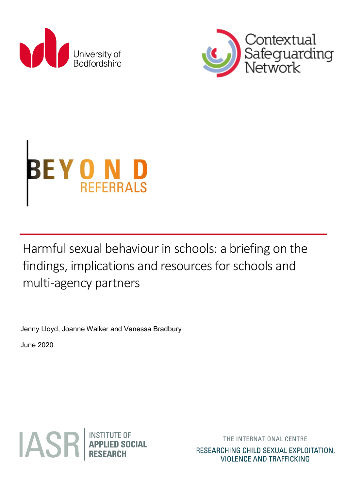<span id="page-0-0"></span>





Harmful sexual behaviour in schools: a briefing on the findings, implications and resources for schools and multi-agency partners

Jenny Lloyd, Joanne Walker and Vanessa Bradbury

June 2020



THE INTERNATIONAL CENTRE

RESEARCHING CHILD SEXUAL EXPLOITATION. **VIOLENCE AND TRAFFICKING**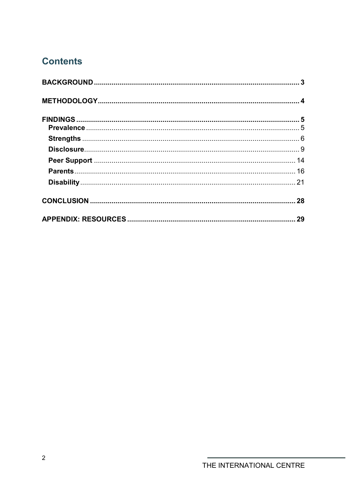# **Contents**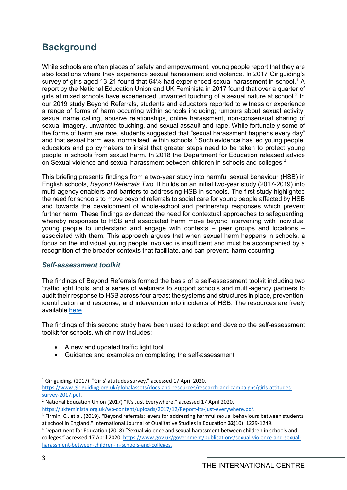# <span id="page-2-0"></span>**Background**

While schools are often places of safety and empowerment, young people report that they are also locations where they experience sexual harassment and violence. In 2017 Girlguiding's survey of girls aged [1](#page-0-0)3-21 found that 64% had experienced sexual harassment in school.<sup>1</sup> A report by the National Education Union and UK Feminista in 2017 found that over a quarter of girls at mixed schools have experienced unwanted touching of a sexual nature at school.<sup>[2](#page-2-1)</sup> In our 2019 study Beyond Referrals, students and educators reported to witness or experience a range of forms of harm occurring within schools including; rumours about sexual activity, sexual name calling, abusive relationships, online harassment, non-consensual sharing of sexual imagery, unwanted touching, and sexual assault and rape. While fortunately some of the forms of harm are rare, students suggested that "sexual harassment happens every day" and that sexual harm was 'normalised' within schools.<sup>[3](#page-2-2)</sup> Such evidence has led young people, educators and policymakers to insist that greater steps need to be taken to protect young people in schools from sexual harm. In 2018 the Department for Education released advice on Sexual violence and sexual harassment between children in schools and colleges.[4](#page-2-3)

This briefing presents findings from a two-year study into harmful sexual behaviour (HSB) in English schools, *Beyond Referrals Two*. It builds on an initial two-year study (2017-2019) into multi-agency enablers and barriers to addressing HSB in schools. The first study highlighted the need for schools to move beyond referrals to social care for young people affected by HSB and towards the development of whole-school and partnership responses which prevent further harm. These findings evidenced the need for contextual approaches to safeguarding, whereby responses to HSB and associated harm move beyond intervening with individual young people to understand and engage with contexts – peer groups and locations – associated with them. This approach argues that when sexual harm happens in schools, a focus on the individual young people involved is insufficient and must be accompanied by a recognition of the broader contexts that facilitate, and can prevent, harm occurring.

### *Self-assessment toolkit*

The findings of Beyond Referrals formed the basis of a self-assessment toolkit including two 'traffic light tools' and a series of webinars to support schools and multi-agency partners to audit their response to HSB across four areas: the systems and structures in place, prevention, identification and response, and intervention into incidents of HSB. The resources are freely available [here.](https://www.csnetwork.org.uk/en/beyond-referrals-levers-for-addressing-harmful-sexual-behaviour-in-schools)

The findings of this second study have been used to adapt and develop the self-assessment toolkit for schools, which now includes:

- A new and updated traffic light tool
- Guidance and examples on completing the self-assessment

<sup>1</sup> Girlguiding. (2017). "Girls' attitudes survey." accessed 17 April 2020.

[https://www.girlguiding.org.uk/globalassets/docs-and-resources/research-and-campaigns/girls-attitudes](https://www.girlguiding.org.uk/globalassets/docs-and-resources/research-and-campaigns/girls-attitudes-survey-2017.pdf)[survey-2017.pdf.](https://www.girlguiding.org.uk/globalassets/docs-and-resources/research-and-campaigns/girls-attitudes-survey-2017.pdf)

<span id="page-2-1"></span><sup>&</sup>lt;sup>2</sup> National Education Union (2017) "It's Just Everywhere." accessed 17 April 2020. [https://ukfeminista.org.uk/wp-content/uploads/2017/12/Report-Its-just-everywhere.pdf.](https://ukfeminista.org.uk/wp-content/uploads/2017/12/Report-Its-just-everywhere.pdf)

<span id="page-2-2"></span> $3$  Firmin, C., et al. (2019). "Beyond referrals: levers for addressing harmful sexual behaviours between students at school in England." International Journal of Qualitative Studies in Education **32**(10): 1229-1249.

<span id="page-2-3"></span><sup>4</sup> Department for Education (2018) "Sexual violence and sexual harassment between children in schools and colleges." accessed 17 April 2020. [https://www.gov.uk/government/publications/sexual-violence-and-sexual](https://www.gov.uk/government/publications/sexual-violence-and-sexual-harassment-between-children-in-schools-and-colleges)[harassment-between-children-in-schools-and-colleges.](https://www.gov.uk/government/publications/sexual-violence-and-sexual-harassment-between-children-in-schools-and-colleges)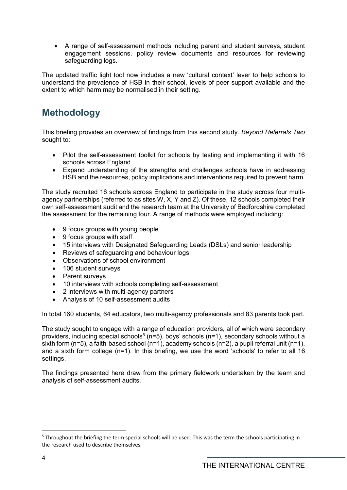• A range of self-assessment methods including parent and student surveys, student engagement sessions, policy review documents and resources for reviewing safeguarding logs.

The updated traffic light tool now includes a new 'cultural context' lever to help schools to understand the prevalence of HSB in their school, levels of peer support available and the extent to which harm may be normalised in their setting.

# <span id="page-3-0"></span>**Methodology**

This briefing provides an overview of findings from this second study. *Beyond Referrals Two*  sought to:

- Pilot the self-assessment toolkit for schools by testing and implementing it with 16 schools across England.
- Expand understanding of the strengths and challenges schools have in addressing HSB and the resources, policy implications and interventions required to prevent harm.

The study recruited 16 schools across England to participate in the study across four multiagency partnerships (referred to as sites W, X, Y and Z). Of these, 12 schools completed their own self-assessment audit and the research team at the University of Bedfordshire completed the assessment for the remaining four. A range of methods were employed including:

- 9 focus groups with young people
- 9 focus groups with staff
- 15 interviews with Designated Safeguarding Leads (DSLs) and senior leadership
- Reviews of safeguarding and behaviour logs
- Observations of school environment
- 106 student surveys
- Parent surveys
- 10 interviews with schools completing self-assessment
- 2 interviews with multi-agency partners
- Analysis of 10 self-assessment audits

In total 160 students, 64 educators, two multi-agency professionals and 83 parents took part.

The study sought to engage with a range of education providers, all of which were secondary providers, including special schools<sup>[5](#page-3-1)</sup> (n=5), boys' schools (n=1), secondary schools without a sixth form (n=5), a faith-based school (n=1), academy schools (n=2), a pupil referral unit (n=1), and a sixth form college (n=1). In this briefing, we use the word 'schools' to refer to all 16 settings.

The findings presented here draw from the primary fieldwork undertaken by the team and analysis of self-assessment audits.

<span id="page-3-1"></span><sup>-</sup><sup>5</sup> Throughout the briefing the term special schools will be used. This was the term the schools participating in the research used to describe themselves.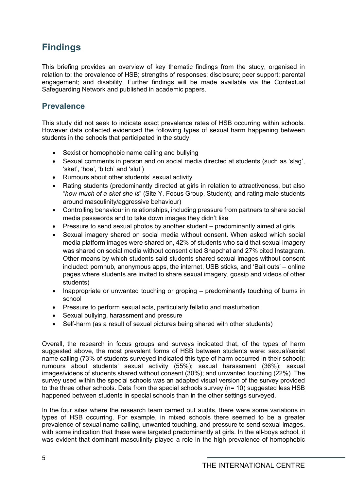# <span id="page-4-0"></span>**Findings**

This briefing provides an overview of key thematic findings from the study, organised in relation to: the prevalence of HSB; strengths of responses; disclosure; peer support; parental engagement; and disability. Further findings will be made available via the Contextual Safeguarding Network and published in academic papers.

# <span id="page-4-1"></span>**Prevalence**

This study did not seek to indicate exact prevalence rates of HSB occurring within schools. However data collected evidenced the following types of sexual harm happening between students in the schools that participated in the study:

- Sexist or homophobic name calling and bullying
- Sexual comments in person and on social media directed at students (such as 'slag', 'sket', 'hoe', 'bitch' and 'slut')
- Rumours about other students' sexual activity
- Rating students (predominantly directed at girls in relation to attractiveness, but also "*how much of a sket she is*" (Site Y, Focus Group, Student); and rating male students around masculinity/aggressive behaviour)
- Controlling behaviour in relationships, including pressure from partners to share social media passwords and to take down images they didn't like
- Pressure to send sexual photos by another student predominantly aimed at girls
- Sexual imagery shared on social media without consent. When asked which social media platform images were shared on, 42% of students who said that sexual imagery was shared on social media without consent cited Snapchat and 27% cited Instagram. Other means by which students said students shared sexual images without consent included: pornhub, anonymous apps, the internet, USB sticks, and 'Bait outs' – online pages where students are invited to share sexual imagery, gossip and videos of other students)
- Inappropriate or unwanted touching or groping predominantly touching of bums in school
- Pressure to perform sexual acts, particularly fellatio and masturbation
- Sexual bullying, harassment and pressure
- Self-harm (as a result of sexual pictures being shared with other students)

Overall, the research in focus groups and surveys indicated that, of the types of harm suggested above, the most prevalent forms of HSB between students were: sexual/sexist name calling (73% of students surveyed indicated this type of harm occurred in their school); rumours about students' sexual activity (55%); sexual harassment (36%); sexual images/videos of students shared without consent (30%); and unwanted touching (22%). The survey used within the special schools was an adapted visual version of the survey provided to the three other schools. Data from the special schools survey (n= 10) suggested less HSB happened between students in special schools than in the other settings surveyed.

In the four sites where the research team carried out audits, there were some variations in types of HSB occurring. For example, in mixed schools there seemed to be a greater prevalence of sexual name calling, unwanted touching, and pressure to send sexual images, with some indication that these were targeted predominantly at girls. In the all-boys school, it was evident that dominant masculinity played a role in the high prevalence of homophobic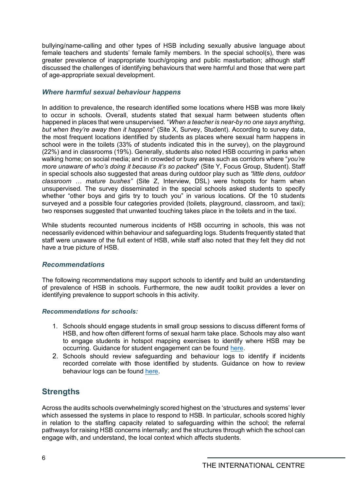bullying/name-calling and other types of HSB including sexually abusive language about female teachers and students' female family members. In the special school(s), there was greater prevalence of inappropriate touch/groping and public masturbation; although staff discussed the challenges of identifying behaviours that were harmful and those that were part of age-appropriate sexual development.

## *Where harmful sexual behaviour happens*

In addition to prevalence, the research identified some locations where HSB was more likely to occur in schools. Overall, students stated that sexual harm between students often happened in places that were unsupervised. "*When a teacher is near-by no one says anything, but when they're away then it happens*" (Site X, Survey, Student). According to survey data, the most frequent locations identified by students as places where sexual harm happens in school were in the toilets (33% of students indicated this in the survey), on the playground (22%) and in classrooms (19%). Generally, students also noted HSB occurring in parks when walking home; on social media; and in crowded or busy areas such as corridors where "*you're more unaware of who's doing it because it's so packed*" (Site Y, Focus Group, Student). Staff in special schools also suggested that areas during outdoor play such as *"little dens, outdoor classroom … mature bushes"* (Site Z, Interview, DSL) were hotspots for harm when unsupervised. The survey disseminated in the special schools asked students to specify whether "other boys and girls try to touch you" in various locations. Of the 10 students surveyed and a possible four categories provided (toilets, playground, classroom, and taxi); two responses suggested that unwanted touching takes place in the toilets and in the taxi.

While students recounted numerous incidents of HSB occurring in schools, this was not necessarily evidenced within behaviour and safeguarding logs. Students frequently stated that staff were unaware of the full extent of HSB, while staff also noted that they felt they did not have a true picture of HSB.

### *Recommendations*

The following recommendations may support schools to identify and build an understanding of prevalence of HSB in schools. Furthermore, the new audit toolkit provides a lever on identifying prevalence to support schools in this activity.

### *Recommendations for schools:*

- 1. Schools should engage students in small group sessions to discuss different forms of HSB, and how often different forms of sexual harm take place. Schools may also want to engage students in hotspot mapping exercises to identify where HSB may be occurring. Guidance for student engagement can be found [here.](https://www.csnetwork.org.uk/en/beyond-referrals-levers-for-addressing-harmful-sexual-behaviour-in-schools)
- 2. Schools should review safeguarding and behaviour logs to identify if incidents recorded correlate with those identified by students. Guidance on how to review behaviour logs can be found [here.](https://www.csnetwork.org.uk/en/beyond-referrals-levers-for-addressing-harmful-sexual-behaviour-in-schools)

# <span id="page-5-0"></span>**Strengths**

Across the audits schools overwhelmingly scored highest on the 'structures and systems' lever which assessed the systems in place to respond to HSB. In particular, schools scored highly in relation to the staffing capacity related to safeguarding within the school; the referral pathways for raising HSB concerns internally; and the structures through which the school can engage with, and understand, the local context which affects students.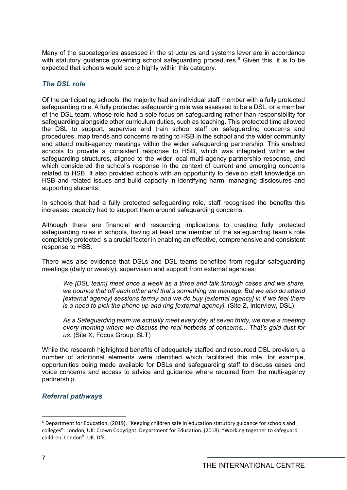Many of the subcategories assessed in the structures and systems lever are in accordance with statutory guidance governing school safeguarding procedures.<sup>[6](#page-6-0)</sup> Given this, it is to be expected that schools would score highly within this category.

### *The DSL role*

Of the participating schools, the majority had an individual staff member with a fully protected safeguarding role. A fully protected safeguarding role was assessed to be a DSL, or a member of the DSL team, whose role had a sole focus on safeguarding rather than responsibility for safeguarding alongside other curriculum duties, such as teaching. This protected time allowed the DSL to support, supervise and train school staff on safeguarding concerns and procedures, map trends and concerns relating to HSB in the school and the wider community and attend multi-agency meetings within the wider safeguarding partnership. This enabled schools to provide a consistent response to HSB, which was integrated within wider safeguarding structures, aligned to the wider local multi-agency partnership response, and which considered the school's response in the context of current and emerging concerns related to HSB. It also provided schools with an opportunity to develop staff knowledge on HSB and related issues and build capacity in identifying harm, managing disclosures and supporting students.

In schools that had a fully protected safeguarding role, staff recognised the benefits this increased capacity had to support them around safeguarding concerns.

Although there are financial and resourcing implications to creating fully protected safeguarding roles in schools, having at least one member of the safeguarding team's role completely protected is a crucial factor in enabling an effective, comprehensive and consistent response to HSB.

There was also evidence that DSLs and DSL teams benefited from regular safeguarding meetings (daily or weekly), supervision and support from external agencies:

*We [DSL team] meet once a week as a three and talk through cases and we share, we bounce that off each other and that's something we manage. But we also do attend [external agency] sessions termly and we do buy [external agency] in if we feel there is a need to pick the phone up and ring [external agency].* (Site Z, Interview, DSL)

*As a Safeguarding team we actually meet every day at seven thirty, we have a meeting every morning where we discuss the real hotbeds of concerns... That's gold dust for us*. (Site X, Focus Group, SLT)

While the research highlighted benefits of adequately staffed and resourced DSL provision, a number of additional elements were identified which facilitated this role, for example, opportunities being made available for DSLs and safeguarding staff to discuss cases and voice concerns and access to advice and guidance where required from the multi-agency partnership.

### *Referral pathways*

<u>.</u>

<span id="page-6-0"></span><sup>6</sup> Department for Education. (2019). "Keeping children safe in education statutory guidance for schools and colleges". London, UK: Crown Copyright. Department for Education. (2018). "Working together to safeguard children. London". UK: DfE.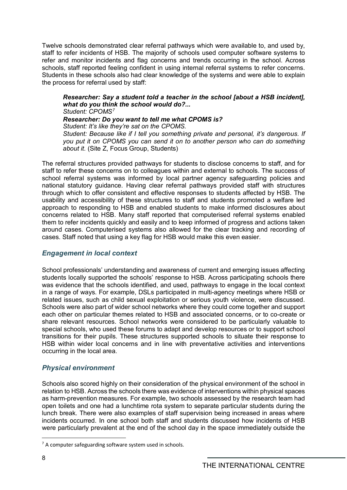Twelve schools demonstrated clear referral pathways which were available to, and used by, staff to refer incidents of HSB. The majority of schools used computer software systems to refer and monitor incidents and flag concerns and trends occurring in the school. Across schools, staff reported feeling confident in using internal referral systems to refer concerns. Students in these schools also had clear knowledge of the systems and were able to explain the process for referral used by staff:

*Researcher: Say a student told a teacher in the school [about a HSB incident], what do you think the school would do?... Student: CPOMS[7](#page-7-0)*

#### *Researcher: Do you want to tell me what CPOMS is?*

*Student: It's like they're sat on the CPOMS.*

*Student: Because like if I tell you something private and personal, it's dangerous. If you put it on CPOMS you can send it on to another person who can do something about it.* (Site Z, Focus Group, Students)

The referral structures provided pathways for students to disclose concerns to staff, and for staff to refer these concerns on to colleagues within and external to schools. The success of school referral systems was informed by local partner agency safeguarding policies and national statutory guidance. Having clear referral pathways provided staff with structures through which to offer consistent and effective responses to students affected by HSB. The usability and accessibility of these structures to staff and students promoted a welfare led approach to responding to HSB and enabled students to make informed disclosures about concerns related to HSB. Many staff reported that computerised referral systems enabled them to refer incidents quickly and easily and to keep informed of progress and actions taken around cases. Computerised systems also allowed for the clear tracking and recording of cases. Staff noted that using a key flag for HSB would make this even easier.

### *Engagement in local context*

School professionals' understanding and awareness of current and emerging issues affecting students locally supported the schools' response to HSB. Across participating schools there was evidence that the schools identified, and used, pathways to engage in the local context in a range of ways. For example, DSLs participated in multi-agency meetings where HSB or related issues, such as child sexual exploitation or serious youth violence, were discussed. Schools were also part of wider school networks where they could come together and support each other on particular themes related to HSB and associated concerns, or to co-create or share relevant resources. School networks were considered to be particularly valuable to special schools, who used these forums to adapt and develop resources or to support school transitions for their pupils. These structures supported schools to situate their response to HSB within wider local concerns and in line with preventative activities and interventions occurring in the local area.

### *Physical environment*

Schools also scored highly on their consideration of the physical environment of the school in relation to HSB. Across the schools there was evidence of interventions within physical spaces as harm-prevention measures. For example, two schools assessed by the research team had open toilets and one had a lunchtime rota system to separate particular students during the lunch break. There were also examples of staff supervision being increased in areas where incidents occurred. In one school both staff and students discussed how incidents of HSB were particularly prevalent at the end of the school day in the space immediately outside the

<u>.</u>

<span id="page-7-0"></span> $<sup>7</sup>$  A computer safeguarding software system used in schools.</sup>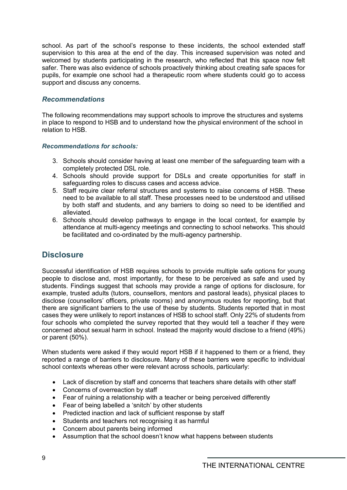school. As part of the school's response to these incidents, the school extended staff supervision to this area at the end of the day. This increased supervision was noted and welcomed by students participating in the research, who reflected that this space now felt safer. There was also evidence of schools proactively thinking about creating safe spaces for pupils, for example one school had a therapeutic room where students could go to access support and discuss any concerns.

### *Recommendations*

The following recommendations may support schools to improve the structures and systems in place to respond to HSB and to understand how the physical environment of the school in relation to HSB.

#### *Recommendations for schools:*

- 3. Schools should consider having at least one member of the safeguarding team with a completely protected DSL role.
- 4. Schools should provide support for DSLs and create opportunities for staff in safeguarding roles to discuss cases and access advice.
- 5. Staff require clear referral structures and systems to raise concerns of HSB. These need to be available to all staff. These processes need to be understood and utilised by both staff and students, and any barriers to doing so need to be identified and alleviated.
- 6. Schools should develop pathways to engage in the local context, for example by attendance at multi-agency meetings and connecting to school networks. This should be facilitated and co-ordinated by the multi-agency partnership.

# <span id="page-8-0"></span>**Disclosure**

Successful identification of HSB requires schools to provide multiple safe options for young people to disclose and, most importantly, for these to be perceived as safe and used by students. Findings suggest that schools may provide a range of options for disclosure, for example, trusted adults (tutors, counsellors, mentors and pastoral leads), physical places to disclose (counsellors' officers, private rooms) and anonymous routes for reporting, but that there are significant barriers to the use of these by students. Students reported that in most cases they were unlikely to report instances of HSB to school staff. Only 22% of students from four schools who completed the survey reported that they would tell a teacher if they were concerned about sexual harm in school. Instead the majority would disclose to a friend (49%) or parent (50%).

When students were asked if they would report HSB if it happened to them or a friend, they reported a range of barriers to disclosure. Many of these barriers were specific to individual school contexts whereas other were relevant across schools, particularly:

- Lack of discretion by staff and concerns that teachers share details with other staff
- Concerns of overreaction by staff
- Fear of ruining a relationship with a teacher or being perceived differently
- Fear of being labelled a 'snitch' by other students
- Predicted inaction and lack of sufficient response by staff
- Students and teachers not recognising it as harmful
- Concern about parents being informed
- Assumption that the school doesn't know what happens between students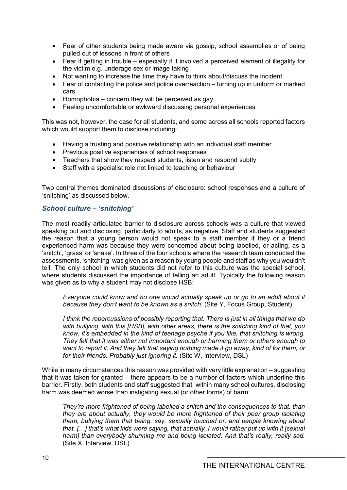- Fear of other students being made aware via gossip, school assemblies or of being pulled out of lessons in front of others
- Fear if getting in trouble especially if it involved a perceived element of illegality for the victim e.g. underage sex or image taking
- Not wanting to increase the time they have to think about/discuss the incident
- Fear of contacting the police and police overreaction turning up in uniform or marked cars
- Homophobia concern they will be perceived as gay
- Feeling uncomfortable or awkward discussing personal experiences

This was not, however, the case for all students, and some across all schools reported factors which would support them to disclose including:

- Having a trusting and positive relationship with an individual staff member
- Previous positive experiences of school responses
- Teachers that show they respect students, listen and respond subtly
- Staff with a specialist role not linked to teaching or behaviour

Two central themes dominated discussions of disclosure: school responses and a culture of 'snitching' as discussed below.

## *School culture – 'snitching'*

The most readily articulated barrier to disclosure across schools was a culture that viewed speaking out and disclosing, particularly to adults, as negative. Staff and students suggested the reason that a young person would not speak to a staff member if they or a friend experienced harm was because they were concerned about being labelled, or acting, as a 'snitch', 'grass' or 'snake'. In three of the four schools where the research team conducted the assessments, 'snitching' was given as a reason by young people and staff as why you wouldn't tell. The only school in which students did not refer to this culture was the special school, where students discussed the importance of telling an adult. Typically the following reason was given as to why a student may not disclose HSB:

*Everyone could know and no one would actually speak up or go to an adult about it because they don't want to be known as a snitch*. (Site Y, Focus Group, Student)

*I think the repercussions of possibly reporting that. There is just in all things that we do with bullying, with this [HSB], with other areas, there is the snitching kind of that, you know, it's embedded in the kind of teenage psyche if you like, that snitching is wrong. They felt that it was either not important enough or harming them or others enough to want to report it. And they felt that saying nothing made it go away, kind of for them, or for their friends. Probably just ignoring it.* (Site W, Interview, DSL)

While in many circumstances this reason was provided with very little explanation – suggesting that it was taken-for granted – there appears to be a number of factors which underline this barrier. Firstly, both students and staff suggested that, within many school cultures, disclosing harm was deemed worse than instigating sexual (or other forms) of harm.

*They're more frightened of being labelled a snitch and the consequences to that, than they are about actually, they would be more frightened of their peer group isolating them, bullying them that being, say, sexually touched or, and people knowing about that. […] that's what kids were saying, that actually, I would rather put up with it [sexual harm] than everybody shunning me and being isolated. And that's really, really sad.* (Site X, Interview, DSL)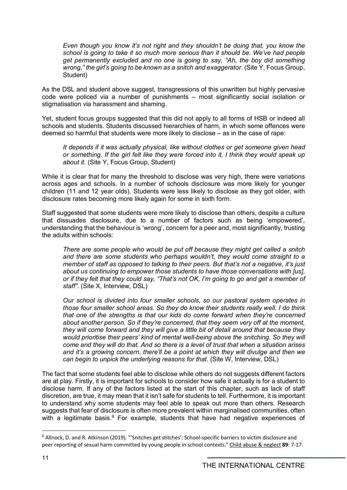*Even though you know it's not right and they shouldn't be doing that, you know the school is going to take it so much more serious than it should be. We've had people get permanently excluded and no one is going to say, "Ah, the boy did something wrong," the girl's going to be known as a snitch and exaggerator*. (Site Y, Focus Group, Student)

As the DSL and student above suggest, transgressions of this unwritten but highly pervasive code were policed via a number of punishments – most significantly social isolation or stigmatisation via harassment and shaming.

Yet, student focus groups suggested that this did not apply to all forms of HSB or indeed all schools and students. Students discussed hierarchies of harm, in which some offences were deemed so harmful that students were more likely to disclose – as in the case of rape:

*It depends if it was actually physical, like without clothes or get someone given head or something. If the girl felt like they were forced into it, I think they would speak up about it.* (Site Y, Focus Group, Student)

While it is clear that for many the threshold to disclose was very high, there were variations across ages and schools. In a number of schools disclosure was more likely for younger children (11 and 12 year olds). Students were less likely to disclose as they got older, with disclosure rates becoming more likely again for some in sixth form.

Staff suggested that some students were more likely to disclose than others, despite a culture that dissuades disclosure, due to a number of factors such as being 'empowered', understanding that the behaviour is 'wrong', concern for a peer and, most significantly, trusting the adults within schools:

*There are some people who would be put off because they might get called a snitch and there are some students who perhaps wouldn't, they would come straight to a member of staff as opposed to talking to their peers. But that's not a negative, it's just about us continuing to empower those students to have those conversations with [us], or if they felt that they could say, "That's not OK, I'm going to go and get a member of staff".* (Site X, Interview, DSL)

*Our school is divided into four smaller schools, so our pastoral system operates in those four smaller school areas. So they do know their students really well. I do think that one of the strengths is that our kids do come forward when they're concerned about another person. So if they're concerned, that they seem very off at the moment, they will come forward and they will give a little bit of detail around that because they would prioritise their peers' kind of mental well-being above the snitching. So they will come and they will do that. And so there is a level of trust that when a situation arises and it's a growing concern, there'll be a point at which they will divulge and then we can begin to unpick the underlying reasons for that*. (Site W, Interview, DSL)

The fact that some students feel able to disclose while others do not suggests different factors are at play. Firstly, it is important for schools to consider how safe it actually is for a student to disclose harm. If any of the factors listed at the start of this chapter, such as lack of staff discretion, are true, it may mean that it isn't safe for students to tell. Furthermore, it is important to understand why some students may feel able to speak out more than others. Research suggests that fear of disclosure is often more prevalent within marginalised communities, often with a legitimate basis.<sup>[8](#page-10-0)</sup> For example, students that have had negative experiences of

<span id="page-10-0"></span><sup>8</sup> Allnock, D. and R. Atkinson (2019). "'Snitches get stitches': School-specific barriers to victim disclosure and peer reporting of sexual harm committed by young people in school contexts." Child abuse & neglect **89**: 7-17.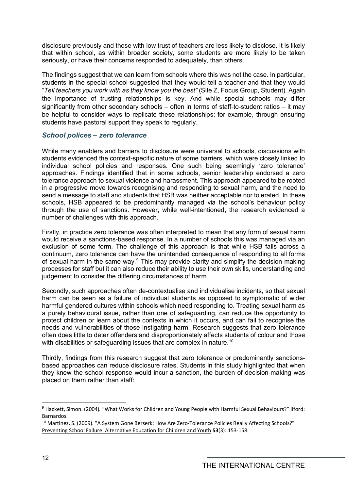disclosure previously and those with low trust of teachers are less likely to disclose. It is likely that within school, as within broader society, some students are more likely to be taken seriously, or have their concerns responded to adequately, than others.

The findings suggest that we can learn from schools where this was not the case. In particular, students in the special school suggested that they would tell a teacher and that they would "*Tell teachers you work with as they know you the best"* (Site Z, Focus Group, Student)*.* Again the importance of trusting relationships is key. And while special schools may differ significantly from other secondary schools – often in terms of staff-to-student ratios – it may be helpful to consider ways to replicate these relationships: for example, through ensuring students have pastoral support they speak to regularly.

#### *School polices – zero tolerance*

While many enablers and barriers to disclosure were universal to schools, discussions with students evidenced the context-specific nature of some barriers, which were closely linked to individual school policies and responses. One such being seemingly 'zero tolerance' approaches. Findings identified that in some schools, senior leadership endorsed a zero tolerance approach to sexual violence and harassment. This approach appeared to be rooted in a progressive move towards recognising and responding to sexual harm, and the need to send a message to staff and students that HSB was neither acceptable nor tolerated. In these schools, HSB appeared to be predominantly managed via the school's behaviour policy through the use of sanctions. However, while well-intentioned, the research evidenced a number of challenges with this approach.

Firstly, in practice zero tolerance was often interpreted to mean that any form of sexual harm would receive a sanctions-based response. In a number of schools this was managed via an exclusion of some form. The challenge of this approach is that while HSB falls across a continuum, zero tolerance can have the unintended consequence of responding to all forms of sexual harm in the same way.<sup>[9](#page-11-0)</sup> This may provide clarity and simplify the decision-making processes for staff but it can also reduce their ability to use their own skills, understanding and judgement to consider the differing circumstances of harm.

Secondly, such approaches often de-contextualise and individualise incidents, so that sexual harm can be seen as a failure of individual students as opposed to symptomatic of wider harmful gendered cultures within schools which need responding to. Treating sexual harm as a purely behavioural issue, rather than one of safeguarding, can reduce the opportunity to protect children or learn about the contexts in which it occurs, and can fail to recognise the needs and vulnerabilities of those instigating harm. Research suggests that zero tolerance often does little to deter offenders and disproportionately affects students of colour and those with disabilities or safeguarding issues that are complex in nature. $^{\rm 10}$  $^{\rm 10}$  $^{\rm 10}$ 

Thirdly, findings from this research suggest that zero tolerance or predominantly sanctionsbased approaches can reduce disclosure rates. Students in this study highlighted that when they knew the school response would incur a sanction, the burden of decision-making was placed on them rather than staff:

<span id="page-11-0"></span><sup>9</sup> Hackett, Simon. (2004)*.* "What Works for Children and Young People with Harmful Sexual Behaviours?" Ilford: Barnardos.

<span id="page-11-1"></span><sup>&</sup>lt;sup>10</sup> Martinez, S. (2009). "A System Gone Berserk: How Are Zero-Tolerance Policies Really Affecting Schools?" Preventing School Failure: Alternative Education for Children and Youth **53**(3): 153-158.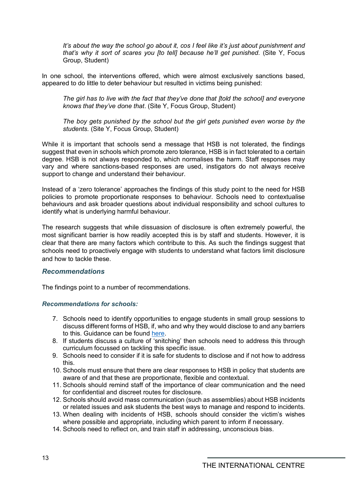*It's about the way the school go about it, cos I feel like it's just about punishment and that's why it sort of scares you [to tell] because he'll get punished.* (Site Y, Focus Group, Student)

In one school, the interventions offered, which were almost exclusively sanctions based, appeared to do little to deter behaviour but resulted in victims being punished:

*The girl has to live with the fact that they've done that [told the school] and everyone knows that they've done that*. (Site Y, Focus Group, Student)

*The boy gets punished by the school but the girl gets punished even worse by the students.* (Site Y, Focus Group, Student)

While it is important that schools send a message that HSB is not tolerated, the findings suggest that even in schools which promote zero tolerance, HSB is in fact tolerated to a certain degree. HSB is not always responded to, which normalises the harm. Staff responses may vary and where sanctions-based responses are used, instigators do not always receive support to change and understand their behaviour.

Instead of a 'zero tolerance' approaches the findings of this study point to the need for HSB policies to promote proportionate responses to behaviour. Schools need to contextualise behaviours and ask broader questions about individual responsibility and school cultures to identify what is underlying harmful behaviour.

The research suggests that while dissuasion of disclosure is often extremely powerful, the most significant barrier is how readily accepted this is by staff and students. However, it is clear that there are many factors which contribute to this. As such the findings suggest that schools need to proactively engage with students to understand what factors limit disclosure and how to tackle these.

#### *Recommendations*

The findings point to a number of recommendations.

#### *Recommendations for schools:*

- 7. Schools need to identify opportunities to engage students in small group sessions to discuss different forms of HSB, if, who and why they would disclose to and any barriers to this. Guidance can be found [here.](https://www.csnetwork.org.uk/en/beyond-referrals-levers-for-addressing-harmful-sexual-behaviour-in-schools)
- 8. If students discuss a culture of 'snitching' then schools need to address this through curriculum focussed on tackling this specific issue.
- 9. Schools need to consider if it is safe for students to disclose and if not how to address this.
- 10. Schools must ensure that there are clear responses to HSB in policy that students are aware of and that these are proportionate, flexible and contextual.
- 11. Schools should remind staff of the importance of clear communication and the need for confidential and discreet routes for disclosure.
- 12. Schools should avoid mass communication (such as assemblies) about HSB incidents or related issues and ask students the best ways to manage and respond to incidents.
- 13. When dealing with incidents of HSB, schools should consider the victim's wishes where possible and appropriate, including which parent to inform if necessary.
- 14. Schools need to reflect on, and train staff in addressing, unconscious bias.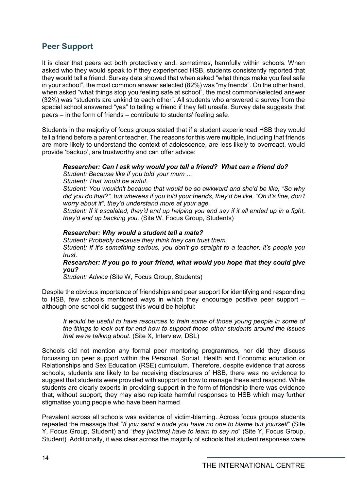# <span id="page-13-0"></span>**Peer Support**

It is clear that peers act both protectively and, sometimes, harmfully within schools. When asked who they would speak to if they experienced HSB, students consistently reported that they would tell a friend. Survey data showed that when asked "what things make you feel safe in your school", the most common answer selected (82%) was "my friends". On the other hand, when asked "what things stop you feeling safe at school", the most common/selected answer (32%) was "students are unkind to each other". All students who answered a survey from the special school answered "yes" to telling a friend if they felt unsafe. Survey data suggests that peers – in the form of friends – contribute to students' feeling safe.

Students in the majority of focus groups stated that if a student experienced HSB they would tell a friend before a parent or teacher. The reasons for this were multiple, including that friends are more likely to understand the context of adolescence, are less likely to overreact, would provide 'backup', are trustworthy and can offer advice:

#### *Researcher: Can I ask why would you tell a friend? What can a friend do?*

*Student: Because like if you told your mum …*

*Student: That would be awful.*

*Student: You wouldn't because that would be so awkward and she'd be like, "So why did you do that?", but whereas if you told your friends, they'd be like, "Oh it's fine, don't worry about it", they'd understand more at your age.*

*Student: If it escalated, they'd end up helping you and say if it all ended up in a fight, they'd end up backing you.* (Site W, Focus Group, Students)

#### *Researcher: Why would a student tell a mate?*

*Student: Probably because they think they can trust them. Student: If it's something serious, you don't go straight to a teacher, it's people you trust.*

*Researcher: If you go to your friend, what would you hope that they could give you?*

*Student: Advice* (Site W, Focus Group, Students)

Despite the obvious importance of friendships and peer support for identifying and responding to HSB, few schools mentioned ways in which they encourage positive peer support – although one school did suggest this would be helpful:

*It would be useful to have resources to train some of those young people in some of the things to look out for and how to support those other students around the issues that we're talking about.* (Site X, Interview, DSL)

Schools did not mention any formal peer mentoring programmes, nor did they discuss focussing on peer support within the Personal, Social, Health and Economic education or Relationships and Sex Education (RSE) curriculum. Therefore, despite evidence that across schools, students are likely to be receiving disclosures of HSB, there was no evidence to suggest that students were provided with support on how to manage these and respond. While students are clearly experts in providing support in the form of friendship there was evidence that, without support, they may also replicate harmful responses to HSB which may further stigmatise young people who have been harmed.

Prevalent across all schools was evidence of victim-blaming. Across focus groups students repeated the message that "*If you send a nude you have no one to blame but yourself*" (Site Y, Focus Group, Student) and "*they [victims] have to learn to say no*" (Site Y, Focus Group, Student). Additionally, it was clear across the majority of schools that student responses were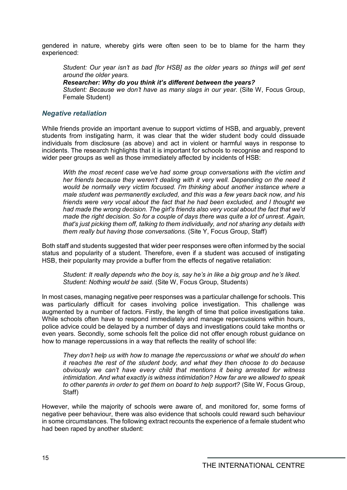gendered in nature, whereby girls were often seen to be to blame for the harm they experienced:

*Student: Our year isn't as bad [for HSB] as the older years so things will get sent around the older years.*

#### *Researcher: Why do you think it's different between the years?*

*Student: Because we don't have as many slags in our year.* (Site W, Focus Group, Female Student)

#### *Negative retaliation*

While friends provide an important avenue to support victims of HSB, and arguably, prevent students from instigating harm, it was clear that the wider student body could dissuade individuals from disclosure (as above) and act in violent or harmful ways in response to incidents. The research highlights that it is important for schools to recognise and respond to wider peer groups as well as those immediately affected by incidents of HSB:

*With the most recent case we've had some group conversations with the victim and her friends because they weren't dealing with it very well. Depending on the need it would be normally very victim focused. I'm thinking about another instance where a male student was permanently excluded, and this was a few years back now, and his friends were very vocal about the fact that he had been excluded, and I thought we had made the wrong decision. The girl's friends also very vocal about the fact that we'd made the right decision. So for a couple of days there was quite a lot of unrest. Again, that's just picking them off, talking to them individually, and not sharing any details with them really but having those conversations.* (Site Y, Focus Group, Staff)

Both staff and students suggested that wider peer responses were often informed by the social status and popularity of a student. Therefore, even if a student was accused of instigating HSB, their popularity may provide a buffer from the effects of negative retaliation:

*Student: It really depends who the boy is, say he's in like a big group and he's liked. Student: Nothing would be said.* (Site W, Focus Group, Students)

In most cases, managing negative peer responses was a particular challenge for schools. This was particularly difficult for cases involving police investigation. This challenge was augmented by a number of factors. Firstly, the length of time that police investigations take. While schools often have to respond immediately and manage repercussions within hours, police advice could be delayed by a number of days and investigations could take months or even years. Secondly, some schools felt the police did not offer enough robust guidance on how to manage repercussions in a way that reflects the reality of school life:

*They don't help us with how to manage the repercussions or what we should do when it reaches the rest of the student body, and what they then choose to do because obviously we can't have every child that mentions it being arrested for witness intimidation. And what exactly is witness intimidation? How far are we allowed to speak to other parents in order to get them on board to help support?* (Site W, Focus Group, Staff)

However, while the majority of schools were aware of, and monitored for, some forms of negative peer behaviour, there was also evidence that schools could reward such behaviour in some circumstances. The following extract recounts the experience of a female student who had been raped by another student: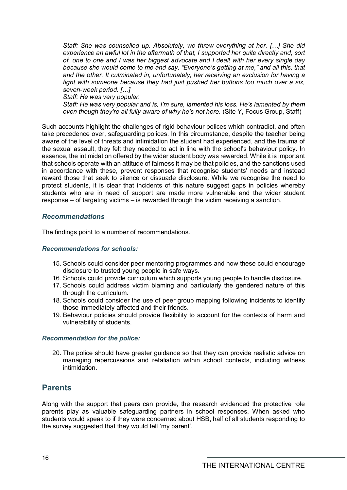*Staff: She was counselled up. Absolutely, we threw everything at her. […] She did experience an awful lot in the aftermath of that, I supported her quite directly and, sort of, one to one and I was her biggest advocate and I dealt with her every single day because she would come to me and say, "Everyone's getting at me," and all this, that and the other. It culminated in, unfortunately, her receiving an exclusion for having a fight with someone because they had just pushed her buttons too much over a six, seven-week period. […]*

*Staff: He was very popular.* 

*Staff: He was very popular and is, I'm sure, lamented his loss. He's lamented by them even though they're all fully aware of why he's not here.* (Site Y, Focus Group, Staff)

Such accounts highlight the challenges of rigid behaviour polices which contradict, and often take precedence over, safeguarding polices. In this circumstance, despite the teacher being aware of the level of threats and intimidation the student had experienced, and the trauma of the sexual assault, they felt they needed to act in line with the school's behaviour policy. In essence, the intimidation offered by the wider student body was rewarded. While it is important that schools operate with an attitude of fairness it may be that policies, and the sanctions used in accordance with these, prevent responses that recognise students' needs and instead reward those that seek to silence or dissuade disclosure. While we recognise the need to protect students, it is clear that incidents of this nature suggest gaps in policies whereby students who are in need of support are made more vulnerable and the wider student response – of targeting victims – is rewarded through the victim receiving a sanction.

#### *Recommendations*

The findings point to a number of recommendations.

#### *Recommendations for schools:*

- 15. Schools could consider peer mentoring programmes and how these could encourage disclosure to trusted young people in safe ways.
- 16. Schools could provide curriculum which supports young people to handle disclosure.
- 17. Schools could address victim blaming and particularly the gendered nature of this through the curriculum.
- 18. Schools could consider the use of peer group mapping following incidents to identify those immediately affected and their friends.
- 19. Behaviour policies should provide flexibility to account for the contexts of harm and vulnerability of students.

#### *Recommendation for the police:*

20. The police should have greater guidance so that they can provide realistic advice on managing repercussions and retaliation within school contexts, including witness intimidation.

# <span id="page-15-0"></span>**Parents**

Along with the support that peers can provide, the research evidenced the protective role parents play as valuable safeguarding partners in school responses. When asked who students would speak to if they were concerned about HSB, half of all students responding to the survey suggested that they would tell 'my parent'.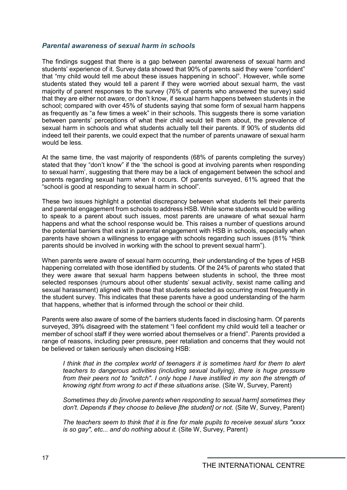#### *Parental awareness of sexual harm in schools*

The findings suggest that there is a gap between parental awareness of sexual harm and students' experience of it. Survey data showed that 90% of parents said they were "confident" that "my child would tell me about these issues happening in school". However, while some students stated they would tell a parent if they were worried about sexual harm, the vast majority of parent responses to the survey (76% of parents who answered the survey) said that they are either not aware, or don't know, if sexual harm happens between students in the school; compared with over 45% of students saying that some form of sexual harm happens as frequently as "a few times a week" in their schools. This suggests there is some variation between parents' perceptions of what their child would tell them about, the prevalence of sexual harm in schools and what students actually tell their parents. If 90% of students did indeed tell their parents, we could expect that the number of parents unaware of sexual harm would be less.

At the same time, the vast majority of respondents (68% of parents completing the survey) stated that they "don't know" if the 'the school is good at involving parents when responding to sexual harm', suggesting that there may be a lack of engagement between the school and parents regarding sexual harm when it occurs. Of parents surveyed, 61% agreed that the "school is good at responding to sexual harm in school".

These two issues highlight a potential discrepancy between what students tell their parents and parental engagement from schools to address HSB. While some students would be willing to speak to a parent about such issues, most parents are unaware of what sexual harm happens and what the school response would be. This raises a number of questions around the potential barriers that exist in parental engagement with HSB in schools, especially when parents have shown a willingness to engage with schools regarding such issues (81% "think parents should be involved in working with the school to prevent sexual harm").

When parents were aware of sexual harm occurring, their understanding of the types of HSB happening correlated with those identified by students. Of the 24% of parents who stated that they were aware that sexual harm happens between students in school, the three most selected responses (rumours about other students' sexual activity, sexist name calling and sexual harassment) aligned with those that students selected as occurring most frequently in the student survey. This indicates that these parents have a good understanding of the harm that happens, whether that is informed through the school or their child.

Parents were also aware of some of the barriers students faced in disclosing harm. Of parents surveyed, 39% disagreed with the statement "I feel confident my child would tell a teacher or member of school staff if they were worried about themselves or a friend". Parents provided a range of reasons, including peer pressure, peer retaliation and concerns that they would not be believed or taken seriously when disclosing HSB:

*I think that in the complex world of teenagers it is sometimes hard for them to alert teachers to dangerous activities (including sexual bullying), there is huge pressure from their peers not to "snitch". I only hope I have instilled in my son the strength of knowing right from wrong to act if these situations arise.* (Site W, Survey, Parent)

*Sometimes they do [involve parents when responding to sexual harm] sometimes they don't. Depends if they choose to believe [the student] or not.* (Site W, Survey, Parent)

*The teachers seem to think that it is fine for male pupils to receive sexual slurs "xxxx is so gay", etc... and do nothing about it.* (Site W, Survey, Parent)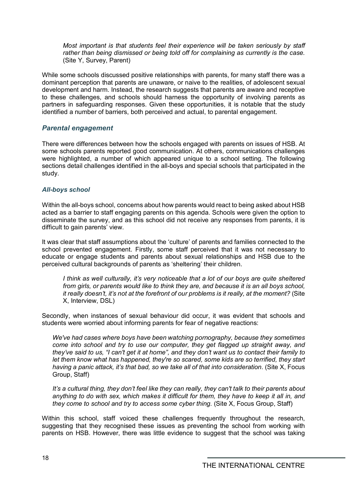*Most important is that students feel their experience will be taken seriously by staff rather than being dismissed or being told off for complaining as currently is the case.* (Site Y, Survey, Parent)

While some schools discussed positive relationships with parents, for many staff there was a dominant perception that parents are unaware, or naive to the realities, of adolescent sexual development and harm. Instead, the research suggests that parents are aware and receptive to these challenges, and schools should harness the opportunity of involving parents as partners in safeguarding responses. Given these opportunities, it is notable that the study identified a number of barriers, both perceived and actual, to parental engagement.

## *Parental engagement*

There were differences between how the schools engaged with parents on issues of HSB. At some schools parents reported good communication. At others, communications challenges were highlighted, a number of which appeared unique to a school setting. The following sections detail challenges identified in the all-boys and special schools that participated in the study.

### *All-boys school*

Within the all-boys school, concerns about how parents would react to being asked about HSB acted as a barrier to staff engaging parents on this agenda. Schools were given the option to disseminate the survey, and as this school did not receive any responses from parents, it is difficult to gain parents' view.

It was clear that staff assumptions about the 'culture' of parents and families connected to the school prevented engagement. Firstly, some staff perceived that it was not necessary to educate or engage students and parents about sexual relationships and HSB due to the perceived cultural backgrounds of parents as 'sheltering' their children.

*I think as well culturally, it's very noticeable that a lot of our boys are quite sheltered from girls, or parents would like to think they are, and because it is an all boys school, it really doesn't, it's not at the forefront of our problems is it really, at the moment?* (Site X, Interview, DSL)

Secondly, when instances of sexual behaviour did occur, it was evident that schools and students were worried about informing parents for fear of negative reactions:

*We've had cases where boys have been watching pornography, because they sometimes come into school and try to use our computer, they get flagged up straight away, and they've said to us, "I can't get it at home", and they don't want us to contact their family to let them know what has happened, they're so scared, some kids are so terrified, they start having a panic attack, it's that bad, so we take all of that into consideration*. (Site X, Focus Group, Staff)

*It's a cultural thing, they don't feel like they can really, they can't talk to their parents about anything to do with sex, which makes it difficult for them, they have to keep it all in, and they come to school and try to access some cyber thing.* (Site X, Focus Group, Staff)

Within this school, staff voiced these challenges frequently throughout the research, suggesting that they recognised these issues as preventing the school from working with parents on HSB. However, there was little evidence to suggest that the school was taking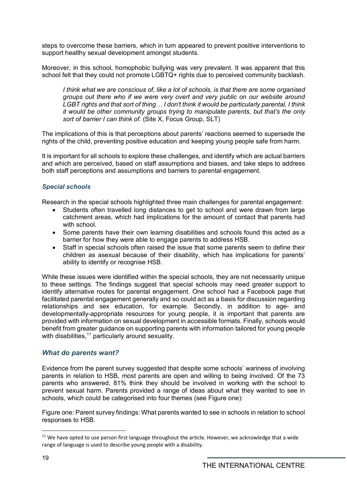steps to overcome these barriers, which in turn appeared to prevent positive interventions to support healthy sexual development amongst students.

Moreover, in this school, homophobic bullying was very prevalent. It was apparent that this school felt that they could not promote LGBTQ+ rights due to perceived community backlash.

*I think what we are conscious of, like a lot of schools, is that there are some organised groups out there who if we were very overt and very public on our website around LGBT rights and that sort of thing… I don't think it would be particularly parental, I think it would be other community groups trying to manipulate parents, but that's the only sort of barrier I can think of*. (Site X, Focus Group, SLT)

The implications of this is that perceptions about parents' reactions seemed to supersede the rights of the child, preventing positive education and keeping young people safe from harm.

It is important for all schools to explore these challenges, and identify which are actual barriers and which are perceived, based on staff assumptions and biases, and take steps to address both staff perceptions and assumptions and barriers to parental engagement.

#### *Special schools*

Research in the special schools highlighted three main challenges for parental engagement:

- Students often travelled long distances to get to school and were drawn from large catchment areas, which had implications for the amount of contact that parents had with school
- Some parents have their own learning disabilities and schools found this acted as a barrier for how they were able to engage parents to address HSB.
- Staff in special schools often raised the issue that some parents seem to define their children as asexual because of their disability, which has implications for parents' ability to identify or recognise HSB.

While these issues were identified within the special schools, they are not necessarily unique to these settings. The findings suggest that special schools may need greater support to identify alternative routes for parental engagement. One school had a Facebook page that facilitated parental engagement generally and so could act as a basis for discussion regarding relationships and sex education, for example. Secondly, in addition to age- and developmentally-appropriate resources for young people, it is important that parents are provided with information on sexual development in accessible formats. Finally, schools would benefit from greater guidance on supporting parents with information tailored for young people with disabilities,<sup>[11](#page-18-0)</sup> particularly around sexuality.

### *What do parents want?*

Evidence from the parent survey suggested that despite some schools' wariness of involving parents in relation to HSB, most parents are open and willing to being involved. Of the 73 parents who answered, 81% think they should be involved in working with the school to prevent sexual harm. Parents provided a range of ideas about what they wanted to see in schools, which could be categorised into four themes (see Figure one):

Figure one: Parent survey findings: What parents wanted to see in schools in relation to school responses to HSB.

<span id="page-18-0"></span><sup>&</sup>lt;sup>11</sup> We have opted to use person first language throughout the article. However, we acknowledge that a wide range of language is used to describe young people with a disability.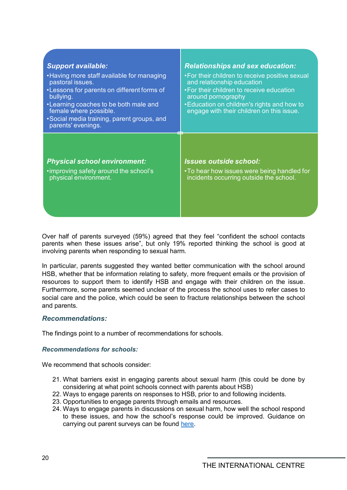| <b>Support available:</b><br>• Having more staff available for managing<br>pastoral issues.<br>•Lessons for parents on different forms of<br>bullying.<br>•Learning coaches to be both male and<br>female where possible.<br>•Social media training, parent groups, and<br>parents' evenings. | <b>Relationships and sex education:</b><br>• For their children to receive positive sexual<br>and relationship education<br>• For their children to receive education<br>around pornography<br>• Education on children's rights and how to<br>engage with their children on this issue. |
|-----------------------------------------------------------------------------------------------------------------------------------------------------------------------------------------------------------------------------------------------------------------------------------------------|-----------------------------------------------------------------------------------------------------------------------------------------------------------------------------------------------------------------------------------------------------------------------------------------|
| <b>Physical school environment:</b>                                                                                                                                                                                                                                                           | <b>Issues outside school:</b>                                                                                                                                                                                                                                                           |
| • improving safety around the school's                                                                                                                                                                                                                                                        | •To hear how issues were being handled for                                                                                                                                                                                                                                              |
| physical environment.                                                                                                                                                                                                                                                                         | incidents occurring outside the school.                                                                                                                                                                                                                                                 |

Over half of parents surveyed (59%) agreed that they feel "confident the school contacts parents when these issues arise", but only 19% reported thinking the school is good at involving parents when responding to sexual harm.

In particular, parents suggested they wanted better communication with the school around HSB, whether that be information relating to safety, more frequent emails or the provision of resources to support them to identify HSB and engage with their children on the issue. Furthermore, some parents seemed unclear of the process the school uses to refer cases to social care and the police, which could be seen to fracture relationships between the school and parents.

#### *Recommendations:*

The findings point to a number of recommendations for schools.

#### *Recommendations for schools:*

We recommend that schools consider:

- 21. What barriers exist in engaging parents about sexual harm (this could be done by considering at what point schools connect with parents about HSB)
- 22. Ways to engage parents on responses to HSB, prior to and following incidents.
- 23. Opportunities to engage parents through emails and resources.
- 24. Ways to engage parents in discussions on sexual harm, how well the school respond to these issues, and how the school's response could be improved. Guidance on carrying out parent surveys can be found [here.](https://www.csnetwork.org.uk/en/beyond-referrals-levers-for-addressing-harmful-sexual-behaviour-in-schools)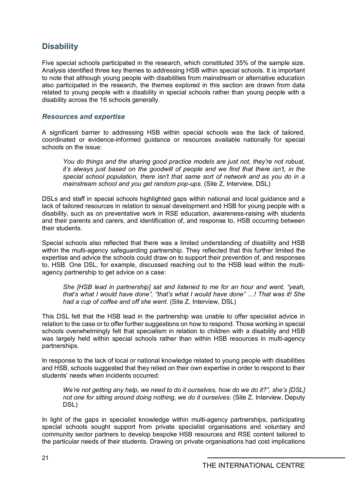# <span id="page-20-0"></span>**Disability**

Five special schools participated in the research, which constituted 35% of the sample size. Analysis identified three key themes to addressing HSB within special schools. It is important to note that although young people with disabilities from mainstream or alternative education also participated in the research, the themes explored in this section are drawn from data related to young people with a disability in special schools rather than young people with a disability across the 16 schools generally.

### *Resources and expertise*

A significant barrier to addressing HSB within special schools was the lack of tailored, coordinated or evidence-informed guidance or resources available nationally for special schools on the issue:

*You do things and the sharing good practice models are just not, they're not robust, it's always just based on the goodwill of people and we find that there isn't, in the special school population, there isn't that same sort of network and as you do in a mainstream school and you get random pop-ups.* (Site Z, Interview, DSL)

DSLs and staff in special schools highlighted gaps within national and local guidance and a lack of tailored resources in relation to sexual development and HSB for young people with a disability, such as on preventative work in RSE education, awareness-raising with students and their parents and carers, and identification of, and response to, HSB occurring between their students.

Special schools also reflected that there was a limited understanding of disability and HSB within the multi-agency safeguarding partnership. They reflected that this further limited the expertise and advice the schools could draw on to support their prevention of, and responses to, HSB. One DSL, for example, discussed reaching out to the HSB lead within the multiagency partnership to get advice on a case:

*She [HSB lead in partnership] sat and listened to me for an hour and went, "yeah, that's what I would have done", "that's what I would have done" …! That was it! She had a cup of coffee and off she went*. (Site Z, Interview, DSL)

This DSL felt that the HSB lead in the partnership was unable to offer specialist advice in relation to the case or to offer further suggestions on how to respond. Those working in special schools overwhelmingly felt that specialism in relation to children with a disability and HSB was largely held within special schools rather than within HSB resources in multi-agency partnerships.

In response to the lack of local or national knowledge related to young people with disabilities and HSB, schools suggested that they relied on their own expertise in order to respond to their students' needs when incidents occurred:

*We're not getting any help, we need to do it ourselves, how do we do it?", she's [DSL] not one for sitting around doing nothing, we do it ourselves.* (Site Z, Interview, Deputy DSL)

In light of the gaps in specialist knowledge within multi-agency partnerships, participating special schools sought support from private specialist organisations and voluntary and community sector partners to develop bespoke HSB resources and RSE content tailored to the particular needs of their students. Drawing on private organisations had cost implications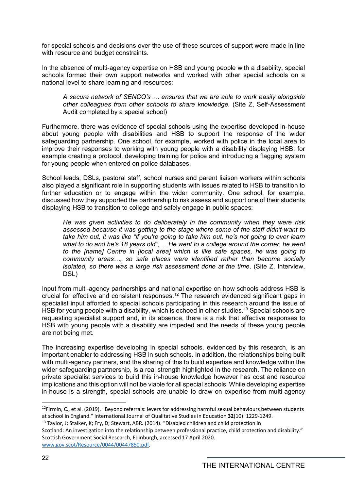for special schools and decisions over the use of these sources of support were made in line with resource and budget constraints.

In the absence of multi-agency expertise on HSB and young people with a disability, special schools formed their own support networks and worked with other special schools on a national level to share learning and resources:

*A secure network of SENCO's … ensures that we are able to work easily alongside other colleagues from other schools to share knowledge.* (Site Z, Self-Assessment Audit completed by a special school)

Furthermore, there was evidence of special schools using the expertise developed in-house about young people with disabilities and HSB to support the response of the wider safeguarding partnership. One school, for example, worked with police in the local area to improve their responses to working with young people with a disability displaying HSB: for example creating a protocol, developing training for police and introducing a flagging system for young people when entered on police databases.

School leads, DSLs, pastoral staff, school nurses and parent liaison workers within schools also played a significant role in supporting students with issues related to HSB to transition to further education or to engage within the wider community. One school, for example, discussed how they supported the partnership to risk assess and support one of their students displaying HSB to transition to college and safely engage in public spaces:

*He was given activities to do deliberately in the community when they were risk assessed because it was getting to the stage where some of the staff didn't want to take him out, it was like "if you're going to take him out, he's not going to ever learn what to do and he's 18 years old", ... He went to a college around the corner, he went to the [name] Centre in [local area] which is like safe spaces, he was going to community areas…, so safe places were identified rather than become socially isolated, so there was a large risk assessment done at the time*. (Site Z, Interview, DSL)

Input from multi-agency partnerships and national expertise on how schools address HSB is crucial for effective and consistent responses. [12](#page-21-0) The research evidenced significant gaps in specialist input afforded to special schools participating in this research around the issue of HSB for young people with a disability, which is echoed in other studies.<sup>[13](#page-21-1)</sup> Special schools are requesting specialist support and, in its absence, there is a risk that effective responses to HSB with young people with a disability are impeded and the needs of these young people are not being met.

The increasing expertise developing in special schools, evidenced by this research, is an important enabler to addressing HSB in such schools. In addition, the relationships being built with multi-agency partners, and the sharing of this to build expertise and knowledge within the wider safeguarding partnership, is a real strength highlighted in the research. The reliance on private specialist services to build this in-house knowledge however has cost and resource implications and this option will not be viable for all special schools. While developing expertise in-house is a strength, special schools are unable to draw on expertise from multi-agency

<span id="page-21-0"></span><sup>&</sup>lt;sup>12</sup>Firmin, C., et al. (2019). "Beyond referrals: levers for addressing harmful sexual behaviours between students at school in England." International Journal of Qualitative Studies in Education **32**(10): 1229-1249.

<span id="page-21-1"></span><sup>&</sup>lt;sup>13</sup> Taylor, J; Stalker, K; Fry, D; Stewart, ABR. (2014). "Disabled children and child protection in

Scotland: An investigation into the relationship between professional practice, child protection and disability." Scottish Government Social Research, Edinburgh, accessed 17 April 2020. [www.gov.scot/Resource/0044/00447850.pdf](http://www.gov.scot/Resource/0044/00447850.pdf)*.*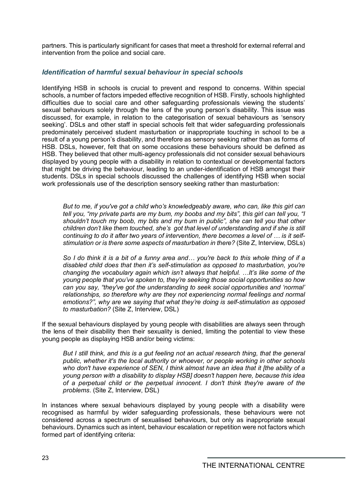partners. This is particularly significant for cases that meet a threshold for external referral and intervention from the police and social care.

### *Identification of harmful sexual behaviour in special schools*

Identifying HSB in schools is crucial to prevent and respond to concerns. Within special schools, a number of factors impeded effective recognition of HSB. Firstly, schools highlighted difficulties due to social care and other safeguarding professionals viewing the students' sexual behaviours solely through the lens of the young person's disability. This issue was discussed, for example, in relation to the categorisation of sexual behaviours as 'sensory seeking'. DSLs and other staff in special schools felt that wider safeguarding professionals predominately perceived student masturbation or inappropriate touching in school to be a result of a young person's disability, and therefore as sensory seeking rather than as forms of HSB. DSLs, however, felt that on some occasions these behaviours should be defined as HSB. They believed that other multi-agency professionals did not consider sexual behaviours displayed by young people with a disability in relation to contextual or developmental factors that might be driving the behaviour, leading to an under-identification of HSB amongst their students. DSLs in special schools discussed the challenges of identifying HSB when social work professionals use of the description sensory seeking rather than masturbation:

*But to me, if you've got a child who's knowledgeably aware, who can, like this girl can tell you, "my private parts are my bum, my boobs and my bits", this girl can tell you, "I shouldn't touch my boob, my bits and my bum in public", she can tell you that other children don't like them touched, she's got that level of understanding and if she is still continuing to do it after two years of intervention, there becomes a level of … is it selfstimulation or is there some aspects of masturbation in there?* (Site Z, Interview, DSLs)

*So I do think it is a bit of a funny area and… you're back to this whole thing of if a disabled child does that then it's self-stimulation as opposed to masturbation, you're changing the vocabulary again which isn't always that helpful. …It's like some of the young people that you've spoken to, they're seeking those social opportunities so how can you say, "they've got the understanding to seek social opportunities and 'normal' relationships, so therefore why are they not experiencing normal feelings and normal emotions?", why are we saying that what they're doing is self-stimulation as opposed to masturbation?* (Site Z, Interview, DSL)

If the sexual behaviours displayed by young people with disabilities are always seen through the lens of their disability then their sexuality is denied, limiting the potential to view these young people as displaying HSB and/or being victims:

*But I still think, and this is a gut feeling not an actual research thing, that the general public, whether it's the local authority or whoever, or people working in other schools who don't have experience of SEN, I think almost have an idea that it [the ability of a young person with a disability to display HSB] doesn't happen here, because this idea of a perpetual child or the perpetual innocent. I don't think they're aware of the problems*. (Site Z, Interview, DSL)

In instances where sexual behaviours displayed by young people with a disability were recognised as harmful by wider safeguarding professionals, these behaviours were not considered across a spectrum of sexualised behaviours, but only as inappropriate sexual behaviours. Dynamics such as intent, behaviour escalation or repetition were not factors which formed part of identifying criteria: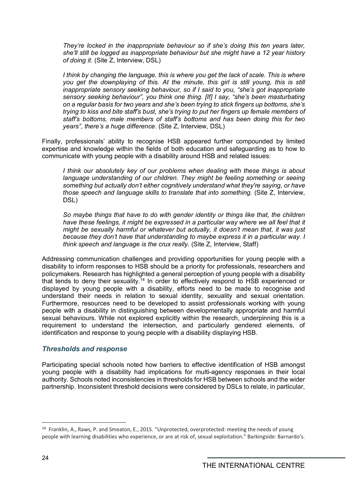*They're locked in the inappropriate behaviour so if she's doing this ten years later, she'll still be logged as inappropriate behaviour but she might have a 12 year history of doing it*. (Site Z, Interview, DSL)

*I think by changing the language, this is where you get the lack of scale. This is where you get the downplaying of this. At the minute, this girl is still young, this is still inappropriate sensory seeking behaviour, so if I said to you, "she's got inappropriate sensory seeking behaviour", you think one thing. [If] I say, "she's been masturbating on a regular basis for two years and she's been trying to stick fingers up bottoms, she's trying to kiss and bite staff's bust, she's trying to put her fingers up female members of staff's bottoms, male members of staff's bottoms and has been doing this for two years", there's a huge difference*. (Site Z, Interview, DSL)

Finally, professionals' ability to recognise HSB appeared further compounded by limited expertise and knowledge within the fields of both education and safeguarding as to how to communicate with young people with a disability around HSB and related issues:

*I think our absolutely key of our problems when dealing with these things is about language understanding of our children. They might be feeling something or seeing something but actually don't either cognitively understand what they're saying, or have those speech and language skills to translate that into something.* (Site Z, Interview, DSL)

*So maybe things that have to do with gender identity or things like that, the children*  have these feelings, it might be expressed in a particular way where we all feel that it *might be sexually harmful or whatever but actually, it doesn't mean that, it was just because they don't have that understanding to maybe express it in a particular way. I think speech and language is the crux really.* (Site Z, Interview, Staff)

Addressing communication challenges and providing opportunities for young people with a disability to inform responses to HSB should be a priority for professionals, researchers and policymakers. Research has highlighted a general perception of young people with a disability that tends to deny their sexuality.<sup>[14](#page-23-0)</sup> In order to effectively respond to HSB experienced or displayed by young people with a disability, efforts need to be made to recognise and understand their needs in relation to sexual identity, sexuality and sexual orientation. Furthermore, resources need to be developed to assist professionals working with young people with a disability in distinguishing between developmentally appropriate and harmful sexual behaviours. While not explored explicitly within the research, underpinning this is a requirement to understand the intersection, and particularly gendered elements, of identification and response to young people with a disability displaying HSB.

### *Thresholds and response*

Participating special schools noted how barriers to effective identification of HSB amongst young people with a disability had implications for multi-agency responses in their local authority. Schools noted inconsistencies in thresholds for HSB between schools and the wider partnership. Inconsistent threshold decisions were considered by DSLs to relate, in particular,

<span id="page-23-0"></span><sup>&</sup>lt;sup>14</sup> Franklin, A., Raws, P. and Smeaton, E., 2015. "Unprotected, overprotected: meeting the needs of young people with learning disabilities who experience, or are at risk of, sexual exploitation." Barkingside: Barnardo's.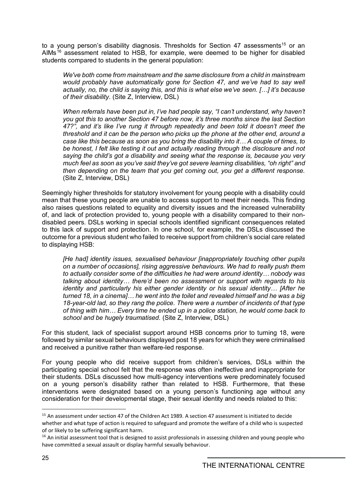to a young person's disability diagnosis. Thresholds for Section 47 assessments<sup>[15](#page-24-0)</sup> or an AIMs<sup>[16](#page-24-1)</sup> assessment related to HSB, for example, were deemed to be higher for disabled students compared to students in the general population:

*We've both come from mainstream and the same disclosure from a child in mainstream would probably have automatically gone for Section 47, and we've had to say well actually, no, the child is saying this, and this is what else we've seen. […] it's because of their disability*. (Site Z, Interview, DSL)

*When referrals have been put in, I've had people say, "I can't understand, why haven't you got this to another Section 47 before now, it's three months since the last Section 47?", and it's like I've rung it through repeatedly and been told it doesn't meet the threshold and it can be the person who picks up the phone at the other end, around a case like this because as soon as you bring the disability into it… A couple of times, to be honest, I felt like testing it out and actually reading through the disclosure and not saying the child's got a disability and seeing what the response is, because you very much feel as soon as you've said they've got severe learning disabilities, "oh right" and then depending on the team that you get coming out, you get a different response.*  (Site Z, Interview, DSL)

Seemingly higher thresholds for statutory involvement for young people with a disability could mean that these young people are unable to access support to meet their needs. This finding also raises questions related to equality and diversity issues and the increased vulnerability of, and lack of protection provided to, young people with a disability compared to their nondisabled peers. DSLs working in special schools identified significant consequences related to this lack of support and protection. In one school, for example, the DSLs discussed the outcome for a previous student who failed to receive support from children's social care related to displaying HSB:

*[He had] identity issues, sexualised behaviour [inappropriately touching other pupils on a number of occasions], rising aggressive behaviours. We had to really push them to actually consider some of the difficulties he had were around identity… nobody was talking about identity… there'd been no assessment or support with regards to his identity and particularly his either gender identity or his sexual identity… [After he turned 18, in a cinema]… he went into the toilet and revealed himself and he was a big 18-year-old lad, so they rang the police. There were a number of incidents of that type of thing with him… Every time he ended up in a police station, he would come back to school and be hugely traumatised.* (Site Z, Interview, DSL)

For this student, lack of specialist support around HSB concerns prior to turning 18, were followed by similar sexual behaviours displayed post 18 years for which they were criminalised and received a punitive rather than welfare-led response.

For young people who did receive support from children's services, DSLs within the participating special school felt that the response was often ineffective and inappropriate for their students. DSLs discussed how multi-agency interventions were predominately focused on a young person's disability rather than related to HSB. Furthermore, that these interventions were designated based on a young person's functioning age without any consideration for their developmental stage, their sexual identity and needs related to this:

<span id="page-24-0"></span><sup>&</sup>lt;sup>15</sup> An assessment under section 47 of the Children Act 1989. A section 47 assessment is initiated to decide whether and what type of action is required to safeguard and promote the welfare of a child who is suspected of or likely to be suffering significant harm.

<span id="page-24-1"></span><sup>&</sup>lt;sup>16</sup> An initial assessment tool that is designed to assist professionals in assessing children and young people who have committed a sexual assault or display harmful sexually behaviour.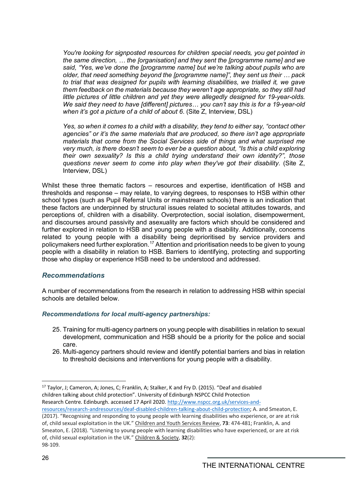*You're looking for signposted resources for children special needs, you get pointed in the same direction, … the [organisation] and they sent the [programme name] and we said, "Yes, we've done the [programme name] but we're talking about pupils who are older, that need something beyond the [programme name]", they sent us their … pack to trial that was designed for pupils with learning disabilities, we trialled it, we gave them feedback on the materials because they weren't age appropriate, so they still had little pictures of little children and yet they were allegedly designed for 19-year-olds. We said they need to have [different] pictures… you can't say this is for a 19-year-old when it's got a picture of a child of about 6*. (Site Z, Interview, DSL)

*Yes, so when it comes to a child with a disability, they tend to either say, "contact other agencies" or it's the same materials that are produced, so there isn't age appropriate materials that come from the Social Services side of things and what surprised me very much, is there doesn't seem to ever be a question about, "Is this a child exploring their own sexuality? Is this a child trying understand their own identity?", those questions never seem to come into play when they've got their disability.* (Site Z, Interview, DSL)

Whilst these three thematic factors – resources and expertise, identification of HSB and thresholds and response – may relate, to varying degrees, to responses to HSB within other school types (such as Pupil Referral Units or mainstream schools) there is an indication that these factors are underpinned by structural issues related to societal attitudes towards, and perceptions of, children with a disability. Overprotection, social isolation, disempowerment, and discourses around passivity and asexuality are factors which should be considered and further explored in relation to HSB and young people with a disability. Additionally, concerns related to young people with a disability being deprioritised by service providers and policymakers need further exploration.[17](#page-25-0) Attention and prioritisation needs to be given to young people with a disability in relation to HSB. Barriers to identifying, protecting and supporting those who display or experience HSB need to be understood and addressed.

### *Recommendations*

A number of recommendations from the research in relation to addressing HSB within special schools are detailed below.

### *Recommendations for local multi-agency partnerships:*

- 25. Training for multi-agency partners on young people with disabilities in relation to sexual development, communication and HSB should be a priority for the police and social care.
- 26. Multi-agency partners should review and identify potential barriers and bias in relation to threshold decisions and interventions for young people with a disability.

<span id="page-25-0"></span><sup>-</sup><sup>17</sup> Taylor, J; Cameron, A; Jones, C; Franklin, A; Stalker, K and Fry D. (2015). "Deaf and disabled children talking about child protection". University of Edinburgh NSPCC Child Protection Research Centre. Edinburgh. accessed 17 April 2020[. http://www.nspcc.org.uk/services-and-](http://www.nspcc.org.uk/services-and-resources/research-andresources/deaf-disabled-children-talking-about-child-protection)

[resources/research-andresources/deaf-disabled-children-talking-about-child-protection;](http://www.nspcc.org.uk/services-and-resources/research-andresources/deaf-disabled-children-talking-about-child-protection) A. and Smeaton, E. (2017). "Recognising and responding to young people with learning disabilities who experience, or are at risk of, child sexual exploitation in the UK." Children and Youth Services Review, **73**: 474-481; Franklin, A. and Smeaton, E. (2018). "Listening to young people with learning disabilities who have experienced, or are at risk of, child sexual exploitation in the UK." Children & Society, **32**(2): 98-109.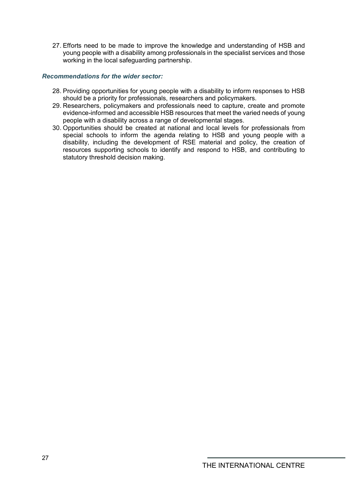27. Efforts need to be made to improve the knowledge and understanding of HSB and young people with a disability among professionals in the specialist services and those working in the local safeguarding partnership.

#### *Recommendations for the wider sector:*

- 28. Providing opportunities for young people with a disability to inform responses to HSB should be a priority for professionals, researchers and policymakers.
- 29. Researchers, policymakers and professionals need to capture, create and promote evidence-informed and accessible HSB resources that meet the varied needs of young people with a disability across a range of developmental stages.
- 30. Opportunities should be created at national and local levels for professionals from special schools to inform the agenda relating to HSB and young people with a disability, including the development of RSE material and policy, the creation of resources supporting schools to identify and respond to HSB, and contributing to statutory threshold decision making.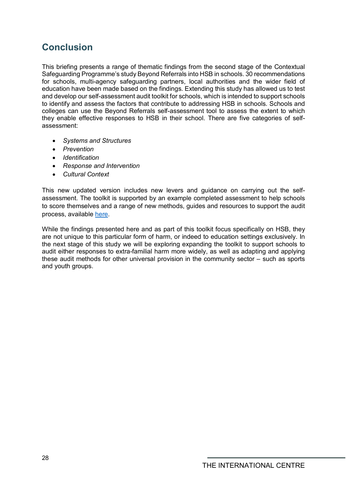# <span id="page-27-0"></span>**Conclusion**

This briefing presents a range of thematic findings from the second stage of the Contextual Safeguarding Programme's study Beyond Referrals into HSB in schools. 30 recommendations for schools, multi-agency safeguarding partners, local authorities and the wider field of education have been made based on the findings. Extending this study has allowed us to test and develop our self-assessment audit toolkit for schools, which is intended to support schools to identify and assess the factors that contribute to addressing HSB in schools. Schools and colleges can use the Beyond Referrals self-assessment tool to assess the extent to which they enable effective responses to HSB in their school. There are five categories of selfassessment:

- *Systems and Structures*
- *Prevention*
- *Identification*
- *Response and Intervention*
- *Cultural Context*

This new updated version includes new levers and guidance on carrying out the selfassessment. The toolkit is supported by an example completed assessment to help schools to score themselves and a range of new methods, guides and resources to support the audit process, available [here.](https://www.csnetwork.org.uk/en/beyond-referrals-levers-for-addressing-harmful-sexual-behaviour-in-schools)

While the findings presented here and as part of this toolkit focus specifically on HSB, they are not unique to this particular form of harm, or indeed to education settings exclusively. In the next stage of this study we will be exploring expanding the toolkit to support schools to audit either responses to extra-familial harm more widely, as well as adapting and applying these audit methods for other universal provision in the community sector – such as sports and youth groups.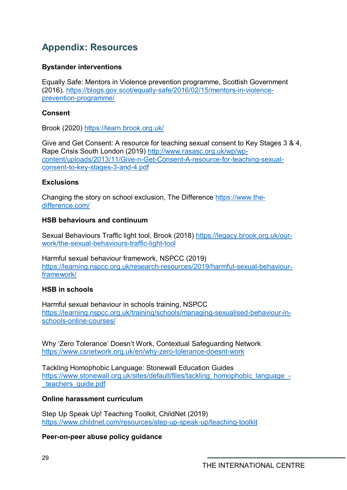# <span id="page-28-0"></span>**Appendix: Resources**

# **Bystander interventions**

Equally Safe: Mentors in Violence prevention programme, Scottish Government (2016). [https://blogs.gov.scot/equally-safe/2016/02/15/mentors-in-violence](https://blogs.gov.scot/equally-safe/2016/02/15/mentors-in-violence-prevention-programme/)[prevention-programme/](https://blogs.gov.scot/equally-safe/2016/02/15/mentors-in-violence-prevention-programme/)

## **Consent**

Brook (2020)<https://learn.brook.org.uk/>

Give and Get Consent: A resource for teaching sexual consent to Key Stages 3 & 4, Rape Crisis South London (2019) [http://www.rasasc.org.uk/wp/wp](http://www.rasasc.org.uk/wp/wp-content/uploads/2013/11/Give-n-Get-Consent-A-resource-for-teaching-sexual-consent-to-key-stages-3-and-4.pdf)[content/uploads/2013/11/Give-n-Get-Consent-A-resource-for-teaching-sexual](http://www.rasasc.org.uk/wp/wp-content/uploads/2013/11/Give-n-Get-Consent-A-resource-for-teaching-sexual-consent-to-key-stages-3-and-4.pdf)[consent-to-key-stages-3-and-4.pdf](http://www.rasasc.org.uk/wp/wp-content/uploads/2013/11/Give-n-Get-Consent-A-resource-for-teaching-sexual-consent-to-key-stages-3-and-4.pdf)

## **Exclusions**

Changing the story on school exclusion, The Difference [https://www.the](https://www.the-difference.com/)[difference.com/](https://www.the-difference.com/)

## **HSB behaviours and continuum**

Sexual Behaviours Traffic light tool, Brook (2018) [https://legacy.brook.org.uk/our](https://legacy.brook.org.uk/our-work/the-sexual-behaviours-traffic-light-tool)[work/the-sexual-behaviours-traffic-light-tool](https://legacy.brook.org.uk/our-work/the-sexual-behaviours-traffic-light-tool)

Harmful sexual behaviour framework, NSPCC (2019) [https://learning.nspcc.org.uk/research-resources/2019/harmful-sexual-behaviour](https://learning.nspcc.org.uk/research-resources/2019/harmful-sexual-behaviour-framework/)[framework/](https://learning.nspcc.org.uk/research-resources/2019/harmful-sexual-behaviour-framework/)

# **HSB in schools**

Harmful sexual behaviour in schools training, NSPCC [https://learning.nspcc.org.uk/training/schools/managing-sexualised-behaviour-in](https://learning.nspcc.org.uk/training/schools/managing-sexualised-behaviour-in-schools-online-courses/)[schools-online-courses/](https://learning.nspcc.org.uk/training/schools/managing-sexualised-behaviour-in-schools-online-courses/)

Why 'Zero Tolerance' Doesn't Work, Contextual Safeguarding Network <https://www.csnetwork.org.uk/en/why-zero-tolerance-doesnt-work>

Tackling Homophobic Language: Stonewall Education Guides [https://www.stonewall.org.uk/sites/default/files/tackling\\_homophobic\\_language\\_](https://www.stonewall.org.uk/sites/default/files/tackling_homophobic_language_-_teachers_guide.pdf) teachers\_quide.pdf

# **Online harassment curriculum**

Step Up Speak Up! Teaching Toolkit, ChildNet (2019) <https://www.childnet.com/resources/step-up-speak-up/teaching-toolkit>

**Peer-on-peer abuse policy guidance**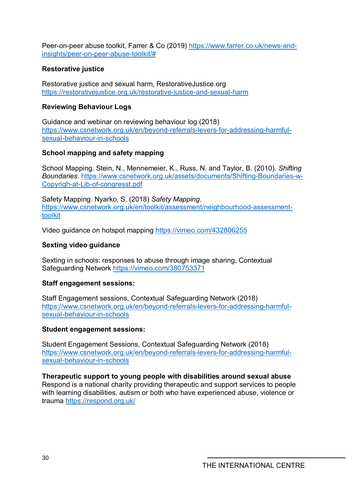Peer-on-peer abuse toolkit, Farrer & Co (2019) [https://www.farrer.co.uk/news-and](https://www.farrer.co.uk/news-and-insights/peer-on-peer-abuse-toolkit/)[insights/peer-on-peer-abuse-toolkit/#](https://www.farrer.co.uk/news-and-insights/peer-on-peer-abuse-toolkit/)

# **Restorative justice**

Restorative justice and sexual harm, RestorativeJustice.org <https://restorativejustice.org.uk/restorative-justice-and-sexual-harm>

# **Reviewing Behaviour Logs**

Guidance and webinar on reviewing behaviour log (2018) [https://www.csnetwork.org.uk/en/beyond-referrals-levers-for-addressing-harmful](https://www.csnetwork.org.uk/en/beyond-referrals-levers-for-addressing-harmful-sexual-behaviour-in-schools)[sexual-behaviour-in-schools](https://www.csnetwork.org.uk/en/beyond-referrals-levers-for-addressing-harmful-sexual-behaviour-in-schools)

## **School mapping and safety mapping**

School Mapping. Stein, N., Mennemeier, K., Russ, N. and Taylor, B. (2010). *Shifting Boundaries.* [https://www.csnetwork.org.uk/assets/documents/Shifting-Boundaries-w-](https://www.csnetwork.org.uk/assets/documents/Shifting-Boundaries-w-Copyrigh-at-Lib-of-congresst.pdf)[Copyrigh-at-Lib-of-congresst.pdf](https://www.csnetwork.org.uk/assets/documents/Shifting-Boundaries-w-Copyrigh-at-Lib-of-congresst.pdf)

Safety Mapping. Nyarko, S. (2018) *Safety Mapping*. [https://www.csnetwork.org.uk/en/toolkit/assessment/neighbourhood-assessment](https://www.csnetwork.org.uk/en/toolkit/assessment/neighbourhood-assessment-toolkit)[toolkit](https://www.csnetwork.org.uk/en/toolkit/assessment/neighbourhood-assessment-toolkit)

Video guidance on hotspot mapping<https://vimeo.com/432806255>

## **Sexting video guidance**

Sexting in schools: responses to abuse through image sharing, Contextual Safeguarding Network<https://vimeo.com/380753371>

### **Staff engagement sessions:**

Staff Engagement sessions, Contextual Safeguarding Network (2018) [https://www.csnetwork.org.uk/en/beyond-referrals-levers-for-addressing-harmful](https://www.csnetwork.org.uk/en/beyond-referrals-levers-for-addressing-harmful-sexual-behaviour-in-schools)[sexual-behaviour-in-schools](https://www.csnetwork.org.uk/en/beyond-referrals-levers-for-addressing-harmful-sexual-behaviour-in-schools)

### **Student engagement sessions:**

Student Engagement Sessions, Contextual Safeguarding Network (2018) [https://www.csnetwork.org.uk/en/beyond-referrals-levers-for-addressing-harmful](https://www.csnetwork.org.uk/en/beyond-referrals-levers-for-addressing-harmful-sexual-behaviour-in-schools)[sexual-behaviour-in-schools](https://www.csnetwork.org.uk/en/beyond-referrals-levers-for-addressing-harmful-sexual-behaviour-in-schools)

**Therapeutic support to young people with disabilities around sexual abuse** Respond is a national charity providing therapeutic and support services to people with learning disabilities, autism or both who have experienced abuse, violence or trauma<https://respond.org.uk/>